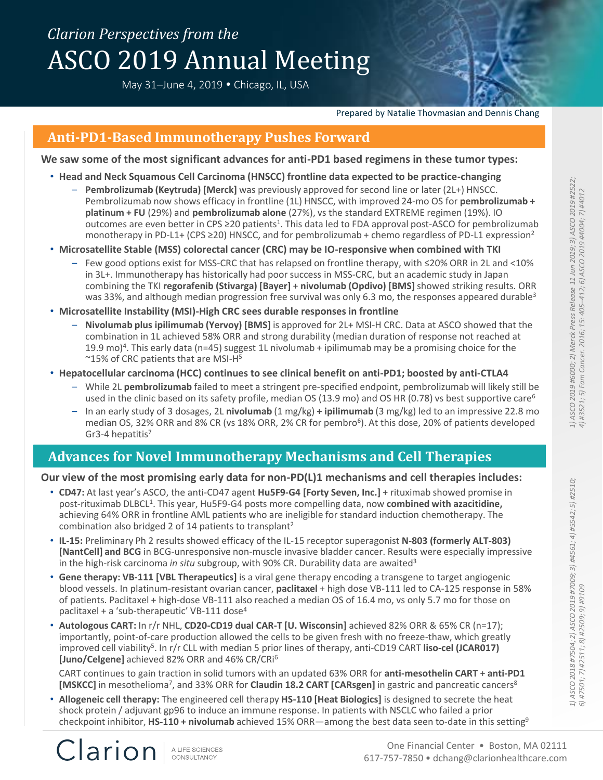# *Clarion Perspectives from the* ASCO 2019 Annual Meeting

May 31-June 4, 2019 • Chicago, IL, USA

Prepared by Natalie Thovmasian and Dennis Chang

### **Anti-PD1-Based Immunotherapy Pushes Forward**

**We saw some of the most significant advances for anti-PD1 based regimens in these tumor types:**

- **Head and Neck Squamous Cell Carcinoma (HNSCC) frontline data expected to be practice-changing**
	- **Pembrolizumab (Keytruda) [Merck]** was previously approved for second line or later (2L+) HNSCC. Pembrolizumab now shows efficacy in frontline (1L) HNSCC, with improved 24-mo OS for **pembrolizumab + platinum + FU** (29%) and **pembrolizumab alone** (27%), vs the standard EXTREME regimen (19%). IO outcomes are even better in CPS ≥20 patients<sup>1</sup>. This data led to FDA approval post-ASCO for pembrolizumab monotherapy in PD-L1+ (CPS  $\geq$  20) HNSCC, and for pembrolizumab + chemo regardless of PD-L1 expression<sup>2</sup>
- **Microsatellite Stable (MSS) colorectal cancer (CRC) may be IO-responsive when combined with TKI** 
	- Few good options exist for MSS-CRC that has relapsed on frontline therapy, with ≤20% ORR in 2L and <10% in 3L+. Immunotherapy has historically had poor success in MSS-CRC, but an academic study in Japan combining the TKI **regorafenib (Stivarga) [Bayer]** + **nivolumab (Opdivo) [BMS]** showed striking results. ORR was 33%, and although median progression free survival was only 6.3 mo, the responses appeared durable<sup>3</sup>
- **Microsatellite Instability (MSI)-High CRC sees durable responses in frontline**
	- **Nivolumab plus ipilimumab (Yervoy) [BMS]** is approved for 2L+ MSI-H CRC. Data at ASCO showed that the combination in 1L achieved 58% ORR and strong durability (median duration of response not reached at 19.9 mo) 4 . This early data (n=45) suggest 1L nivolumab + ipilimumab may be a promising choice for the ~15% of CRC patients that are MSI-H<sup>5</sup>
- **Hepatocellular carcinoma (HCC) continues to see clinical benefit on anti-PD1; boosted by anti-CTLA4** 
	- While 2L **pembrolizumab** failed to meet a stringent pre-specified endpoint, pembrolizumab will likely still be used in the clinic based on its safety profile, median OS (13.9 mo) and OS HR (0.78) vs best supportive care<sup>6</sup>
	- In an early study of 3 dosages, 2L **nivolumab** (1 mg/kg) **+ ipilimumab** (3 mg/kg) led to an impressive 22.8 mo median OS, 32% ORR and 8% CR (vs 18% ORR, 2% CR for pembro<sup>6</sup>). At this dose, 20% of patients developed Gr3-4 hepatitis<sup>7</sup>

# **Advances for Novel Immunotherapy Mechanisms and Cell Therapies**

#### **Our view of the most promising early data for non-PD(L)1 mechanisms and cell therapies includes:**

- **CD47:** At last year's ASCO, the anti-CD47 agent **Hu5F9-G4 [Forty Seven, Inc.]** + rituximab showed promise in post-rituximab DLBCL<sup>1</sup>. This year, Hu5F9-G4 posts more compelling data, now **combined with azacitidine,** achieving 64% ORR in frontline AML patients who are ineligible for standard induction chemotherapy. The combination also bridged 2 of 14 patients to transplant<sup>2</sup>
- **IL-15:** Preliminary Ph 2 results showed efficacy of the IL-15 receptor superagonist **N-803 (formerly ALT-803) [NantCell] and BCG** in BCG-unresponsive non-muscle invasive bladder cancer. Results were especially impressive in the high-risk carcinoma *in situ* subgroup, with 90% CR. Durability data are awaited<sup>3</sup>
- **Gene therapy: VB-111 [VBL Therapeutics]** is a viral gene therapy encoding a transgene to target angiogenic blood vessels. In platinum-resistant ovarian cancer, **paclitaxel** + high dose VB-111 led to CA-125 response in 58% of patients. Paclitaxel + high-dose VB-111 also reached a median OS of 16.4 mo, vs only 5.7 mo for those on paclitaxel + a 'sub-therapeutic' VB-111 dose<sup>4</sup>
- **Autologous CART:** In r/r NHL, **CD20-CD19 dual CAR-T [U. Wisconsin]** achieved 82% ORR & 65% CR (n=17); importantly, point-of-care production allowed the cells to be given fresh with no freeze-thaw, which greatly improved cell viability<sup>5</sup>. In r/r CLL with median 5 prior lines of therapy, anti-CD19 CART liso-cel (JCAR017) **[Juno/Celgene]** achieved 82% ORR and 46% CR/CRi<sup>6</sup>

CART continues to gain traction in solid tumors with an updated 63% ORR for **anti-mesothelin CART** + **anti-PD1** [MSKCC] in mesothelioma<sup>7</sup>, and 33% ORR for Claudin 18.2 CART [CARsgen] in gastric and pancreatic cancers<sup>8</sup>

• **Allogeneic cell therapy:** The engineered cell therapy **HS-110 [Heat Biologics]** is designed to secrete the heat shock protein / adjuvant gp96 to induce an immune response. In patients with NSCLC who failed a prior checkpoint inhibitor, **HS-110 + nivolumab** achieved 15% ORR—among the best data seen to-date in this setting<sup>9</sup>

*1) ASCO 2019 #6000; 2) Merck Press Release 11 Jun 2019; 3) ASCO 2019 #2522;*  1) ASCO 2019 #6000; 2) Merck Press Release 11 Jun 2019; 3) ASCO 2019 #2522; 4) #3521; 5) Fam Cancer. 2016; 15: 405-412; 6) ASCO 2019 #4004; 7) #4012 *4) #3521; 5) Fam Cancer. 2016; 15: 405–412; 6) ASCO 2019 #4004; 7) #4012* 

Clarion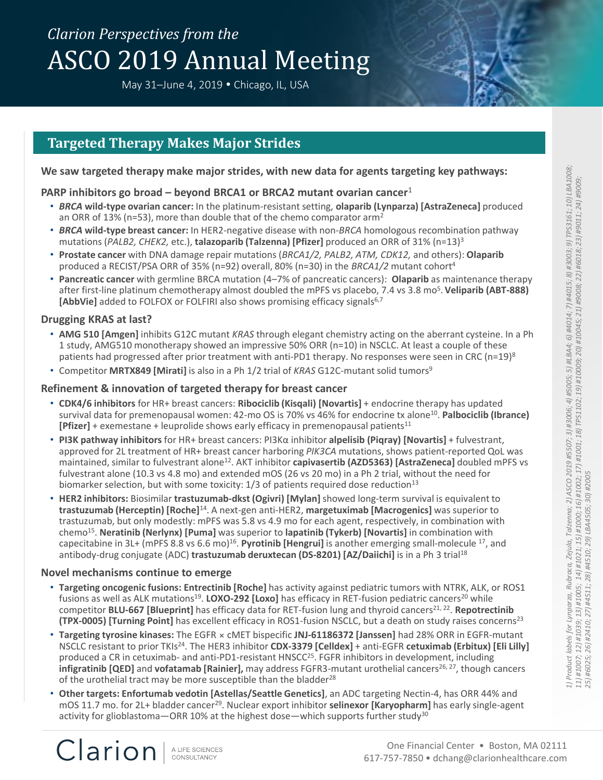# *Clarion Perspectives from the* ASCO 2019 Annual Meeting

May 31-June 4, 2019 • Chicago, IL, USA

### **Targeted Therapy Makes Major Strides**

#### **We saw targeted therapy make major strides, with new data for agents targeting key pathways:**

#### **PARP inhibitors go broad – beyond BRCA1 or BRCA2 mutant ovarian cancer**<sup>1</sup>

- *BRCA* **wild-type ovarian cancer:** In the platinum-resistant setting, **olaparib (Lynparza) [AstraZeneca]** produced an ORR of 13% (n=53), more than double that of the chemo comparator arm<sup>2</sup>
- *BRCA* **wild-type breast cancer:** In HER2-negative disease with non-*BRCA* homologous recombination pathway mutations (*PALB2, CHEK2,* etc.), **talazoparib (Talzenna) [Pfizer]** produced an ORR of 31% (n=13)<sup>3</sup>
- **Prostate cancer** with DNA damage repair mutations (*BRCA1/2, PALB2, ATM, CDK12,* and others): **Olaparib** produced a RECIST/PSA ORR of 35% (n=92) overall, 80% (n=30) in the *BRCA1/2* mutant cohort<sup>4</sup>
- **Pancreatic cancer** with germline BRCA mutation (4–7% of pancreatic cancers): **Olaparib** as maintenance therapy after first-line platinum chemotherapy almost doubled the mPFS vs placebo, 7.4 vs 3.8 mo<sup>5</sup>. **Veliparib (ABT-888) [AbbVie]** added to FOLFOX or FOLFIRI also shows promising efficacy signals<sup>6,7</sup>

#### **Drugging KRAS at last?**

- **AMG 510 [Amgen]** inhibits G12C mutant *KRAS* through elegant chemistry acting on the aberrant cysteine. In a Ph 1 study, AMG510 monotherapy showed an impressive 50% ORR (n=10) in NSCLC. At least a couple of these patients had progressed after prior treatment with anti-PD1 therapy. No responses were seen in CRC (n=19)<sup>8</sup>
- Competitor **MRTX849 [Mirati]** is also in a Ph 1/2 trial of *KRAS* G12C-mutant solid tumors<sup>9</sup>

#### **Refinement & innovation of targeted therapy for breast cancer**

- **CDK4/6 inhibitors** for HR+ breast cancers: **Ribociclib (Kisqali) [Novartis]** + endocrine therapy has updated survival data for premenopausal women: 42-mo OS is 70% vs 46% for endocrine tx alone<sup>10</sup>. Palbociclib (Ibrance) **[Pfizer]** + exemestane + leuprolide shows early efficacy in premenopausal patients<sup>11</sup>
- **PI3K pathway inhibitors** for HR+ breast cancers: PI3Kα inhibitor **alpelisib (Piqray) [Novartis]** + fulvestrant, approved for 2L treatment of HR+ breast cancer harboring *PIK3CA* mutations, shows patient-reported QoL was maintained, similar to fulvestrant alone<sup>12</sup>. AKT inhibitor **capivasertib (AZD5363) [AstraZeneca]** doubled mPFS vs fulvestrant alone (10.3 vs 4.8 mo) and extended mOS (26 vs 20 mo) in a Ph 2 trial, without the need for biomarker selection, but with some toxicity:  $1/3$  of patients required dose reduction<sup>13</sup>
- **HER2 inhibitors:** Biosimilar **trastuzumab-dkst (Ogivri) [Mylan]** showed long-term survival is equivalent to **trastuzumab (Herceptin) [Roche]**<sup>14</sup>. A next-gen anti-HER2, **margetuximab [Macrogenics]** was superior to trastuzumab, but only modestly: mPFS was 5.8 vs 4.9 mo for each agent, respectively, in combination with chemo<sup>15</sup> . **Neratinib (Nerlynx) [Puma]** was superior to **lapatinib (Tykerb) [Novartis]** in combination with capecitabine in 3L+ (mPFS 8.8 vs 6.6 mo)<sup>16</sup>. Pyrotinib [Hengrui] is another emerging small-molecule <sup>17</sup>, and antibody-drug conjugate (ADC) **trastuzumab deruxtecan (DS-8201) [AZ/Daiichi]** is in a Ph 3 trial<sup>18</sup>

#### **Novel mechanisms continue to emerge**

Clarion

- **Targeting oncogenic fusions: Entrectinib [Roche]** has activity against pediatric tumors with NTRK, ALK, or ROS1 fusions as well as ALK mutations<sup>19</sup>. **LOXO-292 [Loxo]** has efficacy in RET-fusion pediatric cancers<sup>20</sup> while competitor **BLU-667 [Blueprint]** has efficacy data for RET-fusion lung and thyroid cancers<sup>21, 22</sup>. Repotrectinib **(TPX-0005) [Turning Point]** has excellent efficacy in ROS1-fusion NSCLC, but a death on study raises concerns<sup>23</sup>
- **Targeting tyrosine kinases:** The EGFR × cMET bispecific **JNJ-61186372 [Janssen]** had 28% ORR in EGFR-mutant NSCLC resistant to prior TKIs<sup>24</sup>. The HER3 inhibitor **CDX-3379 [Celldex]** + anti-EGFR **cetuximab (Erbitux) [Eli Lilly]** produced a CR in cetuximab- and anti-PD1-resistant HNSCC<sup>25</sup>. FGFR inhibitors in development, including **infigratinib [QED]** and **vofatamab [Rainier],** may address FGFR3-mutant urothelial cancers<sup>26, 27</sup>, though cancers of the urothelial tract may be more susceptible than the bladder<sup>28</sup>
- **Other targets: Enfortumab vedotin [Astellas/Seattle Genetics]**, an ADC targeting Nectin-4, has ORR 44% and mOS 11.7 mo. for 2L+ bladder cancer<sup>29</sup>. Nuclear export inhibitor **selinexor [Karyopharm]** has early single-agent activity for glioblastoma—ORR 10% at the highest dose—which supports further study<sup>30</sup>